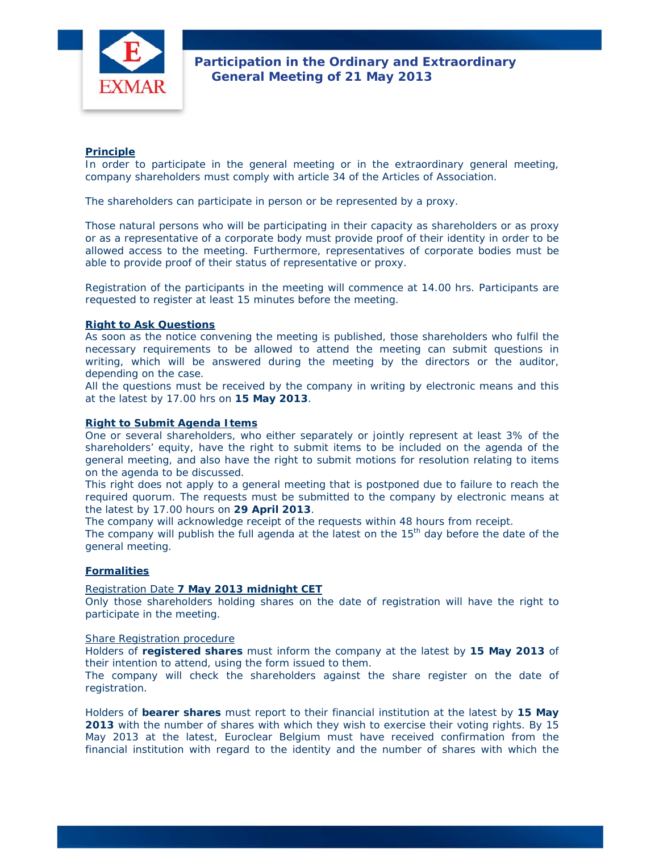

# **Principle**

In order to participate in the general meeting or in the extraordinary general meeting, company shareholders must comply with article 34 of the Articles of Association.

The shareholders can participate in person or be represented by a proxy.

Those natural persons who will be participating in their capacity as shareholders or as proxy or as a representative of a corporate body must provide proof of their identity in order to be allowed access to the meeting. Furthermore, representatives of corporate bodies must be able to provide proof of their status of representative or proxy.

Registration of the participants in the meeting will commence at 14.00 hrs. Participants are requested to register at least 15 minutes before the meeting.

#### **Right to Ask Questions**

As soon as the notice convening the meeting is published, those shareholders who fulfil the necessary requirements to be allowed to attend the meeting can submit questions in writing, which will be answered during the meeting by the directors or the auditor, depending on the case.

All the questions must be received by the company in writing by electronic means and this at the latest by 17.00 hrs on **15 May 2013**.

## **Right to Submit Agenda Items**

One or several shareholders, who either separately or jointly represent at least 3% of the shareholders' equity, have the right to submit items to be included on the agenda of the general meeting, and also have the right to submit motions for resolution relating to items on the agenda to be discussed.

This right does not apply to a general meeting that is postponed due to failure to reach the required quorum. The requests must be submitted to the company by electronic means at the latest by 17.00 hours on **29 April 2013**.

The company will acknowledge receipt of the requests within 48 hours from receipt.

The company will publish the full agenda at the latest on the  $15<sup>th</sup>$  day before the date of the general meeting.

#### **Formalities**

Ĭ

#### Registration Date **7 May 2013 midnight CET**

Only those shareholders holding shares on the date of registration will have the right to participate in the meeting.

**Share Registration procedure** 

Holders of **registered shares** must inform the company at the latest by **15 May 2013** of their intention to attend, using the form issued to them.

The company will check the shareholders against the share register *on the date of registration*.

Holders of **bearer shares** must report to their financial institution at the latest by **15 May 2013** with the number of shares with which they wish to exercise their voting rights. By 15 May 2013 at the latest, Euroclear Belgium must have received confirmation from the financial institution with regard to the identity and the number of shares with which the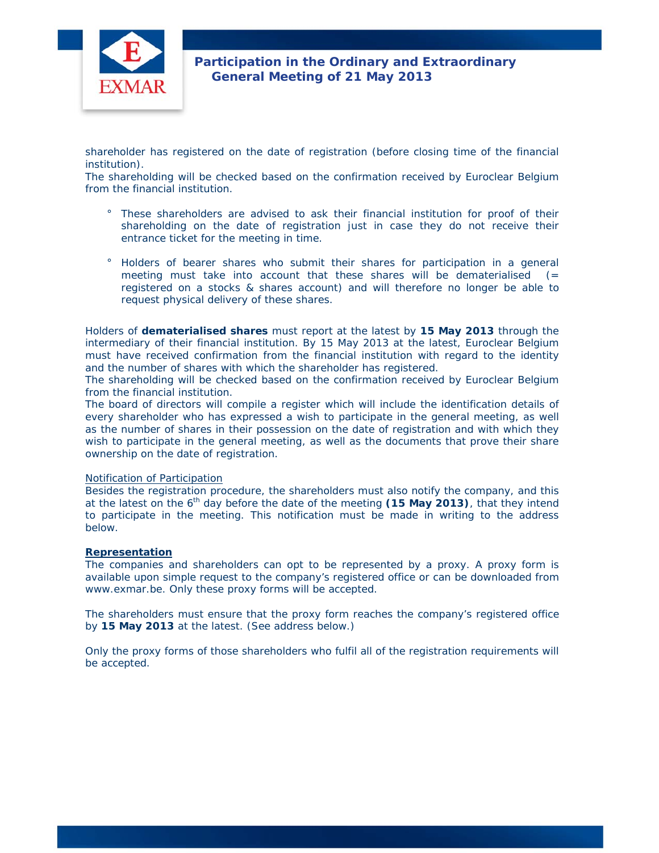

 **Participation in the Ordinary and Extraordinary General Meeting of 21 May 2013** 

shareholder has registered on the date of registration (before closing time of the financial institution).

The shareholding will be checked based on the confirmation received by Euroclear Belgium from the financial institution.

- ° These shareholders are advised to ask their financial institution for proof of their shareholding on the date of registration just in case they do not receive their entrance ticket for the meeting in time.
- ° Holders of bearer shares who submit their shares for participation in a general meeting must take into account that these shares will be dematerialised  $(=$  registered on a stocks & shares account) and will therefore no longer be able to request physical delivery of these shares.

Holders of **dematerialised shares** must report at the latest by **15 May 2013** through the intermediary of their financial institution. By 15 May 2013 at the latest, Euroclear Belgium must have received confirmation from the financial institution with regard to the identity and the number of shares with which the shareholder has registered.

The shareholding will be checked based on the confirmation received by Euroclear Belgium from the financial institution.

The board of directors will compile a register which will include the identification details of every shareholder who has expressed a wish to participate in the general meeting, as well as the number of shares in their possession on the date of registration and with which they wish to participate in the general meeting, as well as the documents that prove their share ownership on the *date of registration*.

# Notification of Participation

Besides the registration procedure, the shareholders must also notify the company, and this at the latest on the 6<sup>th</sup> day before the date of the meeting (15 May 2013), that they intend to participate in the meeting. This notification must be made in writing to the address below.

#### **Representation**

Ĭ

The companies and shareholders can opt to be represented by a proxy. A proxy form is available upon simple request to the company's registered office or can be downloaded from www.exmar.be. Only these proxy forms will be accepted.

The shareholders must ensure that the proxy form reaches the company's registered office by **15 May 2013** at the latest. (See address below.)

Only the proxy forms of those shareholders who fulfil all of the registration requirements will be accepted.